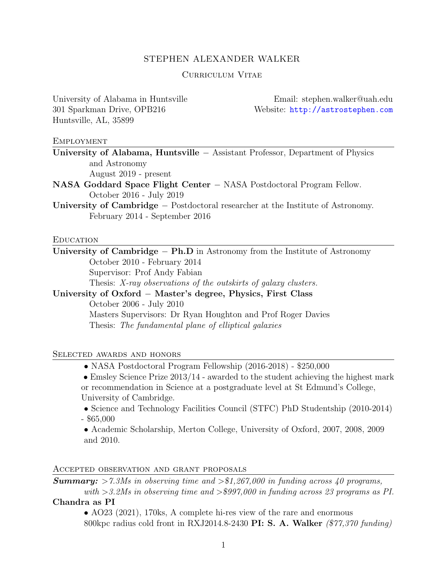#### STEPHEN ALEXANDER WALKER

#### Curriculum Vitae

Huntsville, AL, 35899

University of Alabama in Huntsville Email: stephen.walker@uah.edu 301 Sparkman Drive, OPB216 Website: <http://astrostephen.com>

#### **EMPLOYMENT**

University of Alabama, Huntsville - Assistant Professor, Department of Physics and Astronomy

August 2019 - present

NASA Goddard Space Flight Center - NASA Postdoctoral Program Fellow. October 2016 - July 2019

University of Cambridge – Postdoctoral researcher at the Institute of Astronomy. February 2014 - September 2016

#### **EDUCATION**

University of Cambridge  $- Ph.D$  in Astronomy from the Institute of Astronomy October 2010 - February 2014 Supervisor: Prof Andy Fabian Thesis: *X-ray observations of the outskirts of galaxy clusters.*

University of Oxford  $-$  Master's degree, Physics, First Class October 2006 - July 2010 Masters Supervisors: Dr Ryan Houghton and Prof Roger Davies

Thesis: *The fundamental plane of elliptical galaxies*

#### Selected awards and honors

*•* NASA Postdoctoral Program Fellowship (2016-2018) - \$250,000

• Emsley Science Prize  $2013/14$  - awarded to the student achieving the highest mark or recommendation in Science at a postgraduate level at St Edmund's College, University of Cambridge.

• Science and Technology Facilities Council (STFC) PhD Studentship (2010-2014) - \$65,000

*•* Academic Scholarship, Merton College, University of Oxford, 2007, 2008, 2009 and 2010.

#### Accepted observation and grant proposals

*Summary: >7.3Ms in observing time and >\$1,267,000 in funding across 40 programs,*

*with >3.2Ms in observing time and >\$997,000 in funding across 23 programs as PI.* Chandra as PI

• AO23 (2021), 170ks, A complete hi-res view of the rare and enormous 800kpc radius cold front in RXJ2014.8-2430 PI: S. A. Walker *(\$77,370 funding)*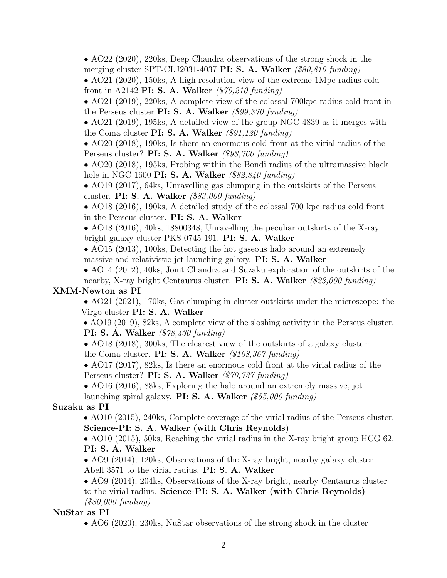• AO22 (2020), 220ks, Deep Chandra observations of the strong shock in the merging cluster SPT-CLJ2031-4037 PI: S. A. Walker *(\$80,810 funding)*

• AO21 (2020), 150ks, A high resolution view of the extreme 1Mpc radius cold front in A2142 PI: S. A. Walker *(\$70,210 funding)*

• AO21 (2019), 220ks, A complete view of the colossal 700 kpc radius cold front in the Perseus cluster PI: S. A. Walker *(\$99,370 funding)*

• AO21 (2019), 195ks, A detailed view of the group NGC 4839 as it merges with the Coma cluster PI: S. A. Walker *(\$91,120 funding)*

• AO20 (2018), 190ks, Is there an enormous cold front at the virial radius of the Perseus cluster? PI: S. A. Walker *(\$93,760 funding)*

• AO20 (2018), 195ks, Probing within the Bondi radius of the ultramassive black hole in NGC 1600 PI: S. A. Walker *(\$82,840 funding)*

• AO19 (2017), 64ks, Unravelling gas clumping in the outskirts of the Perseus cluster. PI: S. A. Walker *(\$83,000 funding)*

• AO18 (2016), 190ks, A detailed study of the colossal 700 kpc radius cold front in the Perseus cluster. PI: S. A. Walker

• AO18 (2016), 40ks, 18800348, Unravelling the peculiar outskirts of the X-ray bright galaxy cluster PKS 0745-191. PI: S. A. Walker

• AO15 (2013), 100ks, Detecting the hot gaseous halo around an extremely massive and relativistic jet launching galaxy. PI: S. A. Walker

• AO14 (2012), 40ks, Joint Chandra and Suzaku exploration of the outskirts of the nearby, X-ray bright Centaurus cluster. PI: S. A. Walker *(\$23,000 funding)* XMM-Newton as PI

• AO21 (2021), 170ks, Gas clumping in cluster outskirts under the microscope: the Virgo cluster PI: S. A. Walker

• AO19 (2019), 82ks, A complete view of the sloshing activity in the Perseus cluster. PI: S. A. Walker *(\$78,430 funding)*

• AO18 (2018), 300ks, The clearest view of the outskirts of a galaxy cluster: the Coma cluster. PI: S. A. Walker *(\$108,367 funding)*

• AO17 (2017), 82ks, Is there an enormous cold front at the virial radius of the Perseus cluster? PI: S. A. Walker *(\$70,737 funding)*

• AO16 (2016), 88ks, Exploring the halo around an extremely massive, jet

launching spiral galaxy. PI: S. A. Walker *(\$55,000 funding)*

Suzaku as PI

• AO10 (2015), 240ks, Complete coverage of the virial radius of the Perseus cluster. Science-PI: S. A. Walker (with Chris Reynolds)

• AO10 (2015), 50ks, Reaching the virial radius in the X-ray bright group HCG 62. PI: S. A. Walker

• AO9 (2014), 120ks, Observations of the X-ray bright, nearby galaxy cluster Abell 3571 to the virial radius. PI: S. A. Walker

• AO9 (2014), 204ks, Observations of the X-ray bright, nearby Centaurus cluster to the virial radius. Science-PI: S. A. Walker (with Chris Reynolds) *(\$80,000 funding)*

# NuStar as PI

• AO6 (2020), 230ks, NuStar observations of the strong shock in the cluster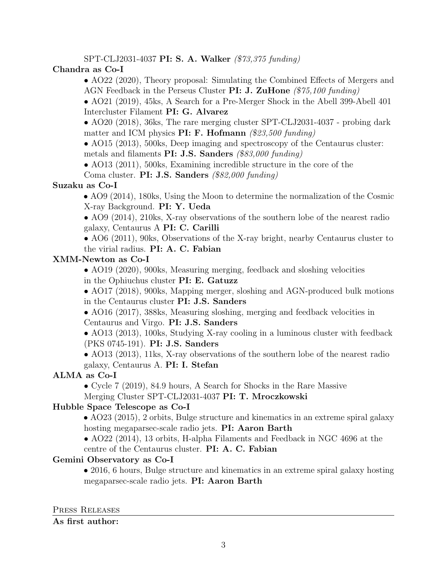## SPT-CLJ2031-4037 PI: S. A. Walker *(\$73,375 funding)*

# Chandra as Co-I

- AO22 (2020), Theory proposal: Simulating the Combined Effects of Mergers and AGN Feedback in the Perseus Cluster PI: J. ZuHone *(\$75,100 funding)*
- AO21 (2019), 45ks, A Search for a Pre-Merger Shock in the Abell 399-Abell 401 Intercluster Filament PI: G. Alvarez

• AO20 (2018), 36ks, The rare merging cluster SPT-CLJ2031-4037 - probing dark matter and ICM physics PI: F. Hofmann *(\$23,500 funding)*

• AO15 (2013), 500ks, Deep imaging and spectroscopy of the Centaurus cluster: metals and filaments PI: J.S. Sanders *(\$83,000 funding)*

• AO13 (2011), 500ks, Examining incredible structure in the core of the Coma cluster. PI: J.S. Sanders *(\$82,000 funding)*

# Suzaku as Co-I

• AO9 (2014), 180ks, Using the Moon to determine the normalization of the Cosmic X-ray Background. PI: Y. Ueda

• AO9 (2014), 210ks, X-ray observations of the southern lobe of the nearest radio galaxy, Centaurus A PI: C. Carilli

• AO6 (2011), 90ks, Observations of the X-ray bright, nearby Centaurus cluster to the virial radius. PI: A. C. Fabian

# XMM-Newton as Co-I

• AO19 (2020), 900ks, Measuring merging, feedback and sloshing velocities in the Ophiuchus cluster PI: E. Gatuzz

• AO17 (2018), 900ks, Mapping merger, sloshing and AGN-produced bulk motions in the Centaurus cluster PI: J.S. Sanders

• AO16 (2017), 388ks, Measuring sloshing, merging and feedback velocities in

Centaurus and Virgo. PI: J.S. Sanders

• AO13 (2013), 100ks, Studying X-ray cooling in a luminous cluster with feedback (PKS 0745-191). PI: J.S. Sanders

• AO13 (2013), 11ks, X-ray observations of the southern lobe of the nearest radio galaxy, Centaurus A. PI: I. Stefan

# ALMA as Co-I

*•* Cycle 7 (2019), 84.9 hours, A Search for Shocks in the Rare Massive Merging Cluster SPT-CLJ2031-4037 PI: T. Mroczkowski

# Hubble Space Telescope as Co-I

• AO23 (2015), 2 orbits, Bulge structure and kinematics in an extreme spiral galaxy hosting megaparsec-scale radio jets. **PI: Aaron Barth** 

• AO22 (2014), 13 orbits, H-alpha Filaments and Feedback in NGC 4696 at the centre of the Centaurus cluster. PI: A. C. Fabian

## Gemini Observatory as Co-I

• 2016, 6 hours, Bulge structure and kinematics in an extreme spiral galaxy hosting megaparsec-scale radio jets. PI: Aaron Barth

#### Press Releases

## As first author: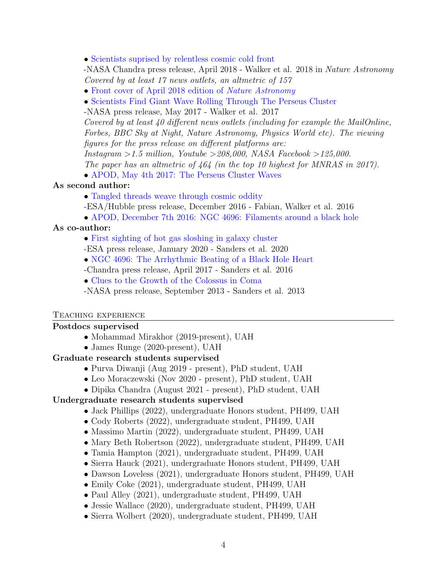• [Scientists suprised by relentless cosmic cold front](https://www.nasa.gov/mission_pages/chandra/news/scientists-surprised-by-relentless-cosmic-cold-front.html)

-NASA Chandra press release, April 2018 - Walker et al. 2018 in *Nature Astronomy Covered by at least 17 news outlets, an altmetric of 157*

- *•* [Front cover of April 2018 edition of](https://www.nature.com/natastron/volumes/2/issues/4/) *Nature Astronomy*
- *•* [Scientists Find Giant Wave Rolling Through The Perseus Cluster](https://www.nasa.gov/feature/goddard/2017/scientists-find-giant-wave-rolling-through-the-perseus-galaxy-cluster)

-NASA press release, May 2017 - Walker et al. 2017

*Covered by at least 40 different news outlets (including for example the MailOnline, Forbes, BBC Sky at Night, Nature Astronomy, Physics World etc). The viewing figures for the press release on different platforms are:* 

*Instagram >1.5 million, Youtube >208,000, NASA Facebook >125,000.*

*The paper has an altmetric of 464 (in the top 10 highest for MNRAS in 2017).*

• [APOD, May 4th 2017: The Perseus Cluster Waves](https://apod.nasa.gov/apod/ap170504.html)

#### As second author:

• [Tangled threads weave through cosmic oddity](https://www.spacetelescope.org/news/heic1621/)

- -ESA/Hubble press release, December 2016 Fabian, Walker et al. 2016
- [APOD, December 7th 2016: NGC 4696: Filaments around a black hole](https://apod.nasa.gov/apod/ap161207.html)

#### As co-author:

• [First sighting of hot gas sloshing in galaxy cluster](https://www.esa.int/Science_Exploration/Space_Science/First_sighting_of_hot_gas_sloshing_in_galaxy_cluster)

-ESA press release, January 2020 - Sanders et al. 2020

*•* [NGC 4696: The Arrhythmic Beating of a Black Hole Heart](http://chandra.harvard.edu/photo/2017/ngc4696/)

-Chandra press release, April 2017 - Sanders et al. 2016

*•* [Clues to the Growth of the Colossus in Coma](https://www.nasa.gov/mission_pages/chandra/multimedia/coma-cluster-growth.html)

-NASA press release, September 2013 - Sanders et al. 2013

#### Teaching experience

#### Postdocs supervised

- *•* Mohammad Mirakhor (2019-present), UAH
- *•* James Runge (2020-present), UAH

## Graduate research students supervised

- *•* Purva Diwanji (Aug 2019 present), PhD student, UAH
- *•* Leo Moraczewski (Nov 2020 present), PhD student, UAH
- *•* Dipika Chandra (August 2021 present), PhD student, UAH

## Undergraduate research students supervised

- *•* Jack Phillips (2022), undergraduate Honors student, PH499, UAH
- *•* Cody Roberts (2022), undergraduate student, PH499, UAH
- *•* Massimo Martin (2022), undergraduate student, PH499, UAH
- *•* Mary Beth Robertson (2022), undergraduate student, PH499, UAH
- *•* Tamia Hampton (2021), undergraduate student, PH499, UAH
- *•* Sierra Hauck (2021), undergraduate Honors student, PH499, UAH
- *•* Dawson Loveless (2021), undergraduate Honors student, PH499, UAH
- *•* Emily Coke (2021), undergraduate student, PH499, UAH
- *•* Paul Alley (2021), undergraduate student, PH499, UAH
- *•* Jessie Wallace (2020), undergraduate student, PH499, UAH
- *•* Sierra Wolbert (2020), undergraduate student, PH499, UAH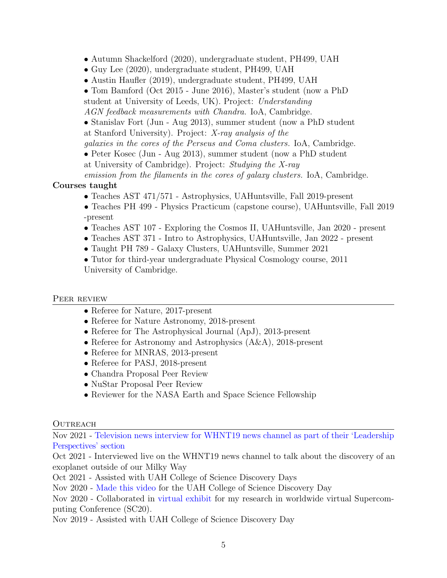*•* Autumn Shackelford (2020), undergraduate student, PH499, UAH

- *•* Guy Lee (2020), undergraduate student, PH499, UAH
- Austin Haufler (2019), undergraduate student, PH499, UAH
- *•* Tom Bamford (Oct 2015 June 2016), Master's student (now a PhD
- student at University of Leeds, UK). Project: *Understanding*
- *AGN feedback measurements with Chandra.* IoA, Cambridge.

• Stanislav Fort (Jun - Aug 2013), summer student (now a PhD student at Stanford University). Project: *X-ray analysis of the*

*galaxies in the cores of the Perseus and Coma clusters.* IoA, Cambridge.

• Peter Kosec (Jun - Aug 2013), summer student (now a PhD student

at University of Cambridge). Project: *Studying the X-ray*

*emission from the filaments in the cores of galaxy clusters.* IoA, Cambridge.

# Courses taught

- *•* Teaches AST 471/571 Astrophysics, UAHuntsville, Fall 2019-present
- *•* Teaches PH 499 Physics Practicum (capstone course), UAHuntsville, Fall 2019 -present
- Teaches AST 107 Exploring the Cosmos II, UAHuntsville, Jan 2020 present
- *•* Teaches AST 371 Intro to Astrophysics, UAHuntsville, Jan 2022 present
- *•* Taught PH 789 Galaxy Clusters, UAHuntsville, Summer 2021
- Tutor for third-year undergraduate Physical Cosmology course, 2011 University of Cambridge.

# PEER REVIEW

- *•* Referee for Nature, 2017-present
- Referee for Nature Astronomy, 2018-present
- Referee for The Astrophysical Journal (ApJ), 2013-present
- Referee for Astronomy and Astrophysics  $(A\&A)$ , 2018-present
- *•* Referee for MNRAS, 2013-present
- Referee for PASJ, 2018-present
- *•* Chandra Proposal Peer Review
- *•* NuStar Proposal Peer Review
- Reviewer for the NASA Earth and Space Science Fellowship

# **OUTREACH**

Nov 2021 - Television news interview for WHNT19 news channel as part of their ['Leadership](https://whnt.com/news/leadership-perspectives/local-astronomer-excited-to-discover-unknown-in-space/) [Perspectives'](https://whnt.com/news/leadership-perspectives/local-astronomer-excited-to-discover-unknown-in-space/) section

Oct 2021 - Interviewed live on the WHNT19 news channel to talk about the discovery of an exoplanet outside of our Milky Way

Oct 2021 - Assisted with UAH College of Science Discovery Days

Nov 2020 - [Made](https://www.youtube.com/watch?v=1AxwCXKIGnk) this video for the UAH College of Science Discovery Day

Nov 2020 - Collaborated in virtual [exhibit](https://www.nas.nasa.gov/SC20/demos/demo13.html) for my research in worldwide virtual Supercomputing Conference (SC20).

Nov 2019 - Assisted with UAH College of Science Discovery Day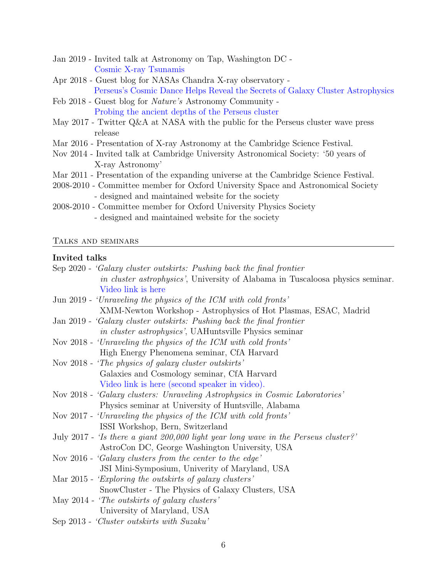- Jan 2019 Invited talk at Astronomy on Tap, Washington DC [Cosmic X-ray Tsunamis](https://astronomyontap.org/2018/12/astronomy-on-tap-dc-january-21-2018/)
- Apr 2018 Guest blog for NASAs Chandra X-ray observatory [Perseus's Cosmic Dance Helps Reveal the Secrets of Galaxy Cluster Astrophysics](http://chandra.harvard.edu/blog/node/676)
- Feb 2018 Guest blog for *Nature's* Astronomy Community [Probing the ancient depths of the Perseus cluster](https://astronomycommunity.nature.com/users/85438-stephen-walker/posts/30641-probing-the-ancient-depths-of-the-perseus-cluster)
- May 2017 Twitter Q&A at NASA with the public for the Perseus cluster wave press release
- Mar 2016 Presentation of X-ray Astronomy at the Cambridge Science Festival.
- Nov 2014 Invited talk at Cambridge University Astronomical Society: '50 years of X-ray Astronomy'
- Mar 2011 Presentation of the expanding universe at the Cambridge Science Festival.
- 2008-2010 Committee member for Oxford University Space and Astronomical Society - designed and maintained website for the society
- 2008-2010 Committee member for Oxford University Physics Society - designed and maintained website for the society

#### Talks and seminars

#### Invited talks

| Sep 2020 - 'Galaxy cluster outskirts: Pushing back the final frontier               |  |  |
|-------------------------------------------------------------------------------------|--|--|
| in cluster astrophysics', University of Alabama in Tuscaloosa physics seminar.      |  |  |
| Video link is here                                                                  |  |  |
| Jun 2019 - 'Unraveling the physics of the ICM with cold fronts'                     |  |  |
| XMM-Newton Workshop - Astrophysics of Hot Plasmas, ESAC, Madrid                     |  |  |
| Jan 2019 - 'Galaxy cluster outskirts: Pushing back the final frontier               |  |  |
| in cluster astrophysics', UAHuntsville Physics seminar                              |  |  |
| Nov 2018 - 'Unraveling the physics of the ICM with cold fronts'                     |  |  |
| High Energy Phenomena seminar, CfA Harvard                                          |  |  |
| Nov 2018 - 'The physics of galaxy cluster outskirts'                                |  |  |
| Galaxies and Cosmology seminar, CfA Harvard                                         |  |  |
| Video link is here (second speaker in video).                                       |  |  |
| Nov 2018 - 'Galaxy clusters: Unraveling Astrophysics in Cosmic Laboratories'        |  |  |
| Physics seminar at University of Huntsville, Alabama                                |  |  |
| Nov 2017 - 'Unraveling the physics of the ICM with cold fronts'                     |  |  |
| ISSI Workshop, Bern, Switzerland                                                    |  |  |
| July 2017 - 'Is there a giant 200,000 light year long wave in the Perseus cluster?' |  |  |
| AstroCon DC, George Washington University, USA                                      |  |  |
| Nov 2016 - 'Galaxy clusters from the center to the edge'                            |  |  |
| JSI Mini-Symposium, Univerity of Maryland, USA                                      |  |  |
| Mar 2015 - 'Exploring the outskirts of galaxy clusters'                             |  |  |
| SnowCluster - The Physics of Galaxy Clusters, USA                                   |  |  |
| May 2014 - 'The outskirts of galaxy clusters'                                       |  |  |
| University of Maryland, USA                                                         |  |  |
| Sep 2013 - 'Cluster outskirts with Suzaku'                                          |  |  |
|                                                                                     |  |  |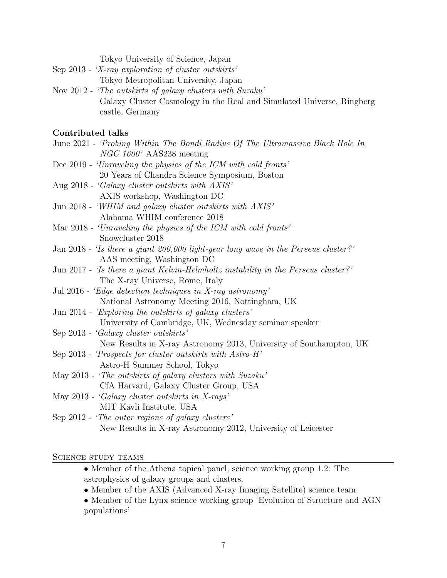- Sep 2013 *'X-ray exploration of cluster outskirts'* Tokyo Metropolitan University, Japan
- Nov 2012 *'The outskirts of galaxy clusters with Suzaku'* Galaxy Cluster Cosmology in the Real and Simulated Universe, Ringberg castle, Germany

# Contributed talks

| Commonded cans                                                                       |
|--------------------------------------------------------------------------------------|
| June 2021 - 'Probing Within The Bondi Radius Of The Ultramassive Black Hole In       |
| $NGC 1600'$ AAS238 meeting                                                           |
| Dec 2019 - 'Unraveling the physics of the ICM with cold fronts'                      |
| 20 Years of Chandra Science Symposium, Boston                                        |
| Aug 2018 - 'Galaxy cluster outskirts with AXIS'                                      |
| AXIS workshop, Washington DC                                                         |
| Jun 2018 - 'WHIM and galaxy cluster outskirts with AXIS'                             |
| Alabama WHIM conference 2018                                                         |
| Mar 2018 - 'Unraveling the physics of the ICM with cold fronts'                      |
| Snowcluster 2018                                                                     |
| Jan 2018 - 'Is there a giant $200,000$ light-year long wave in the Perseus cluster?' |
| AAS meeting, Washington DC                                                           |
| Jun 2017 - 'Is there a giant Kelvin-Helmholtz instability in the Perseus cluster?'   |
| The X-ray Universe, Rome, Italy                                                      |
| Jul 2016 - 'Edge detection techniques in X-ray astronomy'                            |
| National Astronomy Meeting 2016, Nottingham, UK                                      |
| Jun 2014 - 'Exploring the outskirts of galaxy clusters'                              |
| University of Cambridge, UK, Wednesday seminar speaker                               |
| Sep 2013 - 'Galaxy cluster outskirts'                                                |
| New Results in X-ray Astronomy 2013, University of Southampton, UK                   |
| Sep 2013 - 'Prospects for cluster outskirts with $Astro-H'$                          |
| Astro-H Summer School, Tokyo                                                         |
| May 2013 - 'The outskirts of galaxy clusters with Suzaku'                            |
| CfA Harvard, Galaxy Cluster Group, USA                                               |

- May 2013 *'Galaxy cluster outskirts in X-rays'* MIT Kavli Institute, USA
- Sep 2012 *'The outer regions of galaxy clusters'* New Results in X-ray Astronomy 2012, University of Leicester

SCIENCE STUDY TEAMS

- *•* Member of the Athena topical panel, science working group 1.2: The astrophysics of galaxy groups and clusters.
- Member of the AXIS (Advanced X-ray Imaging Satellite) science team
- *•* Member of the Lynx science working group 'Evolution of Structure and AGN populations'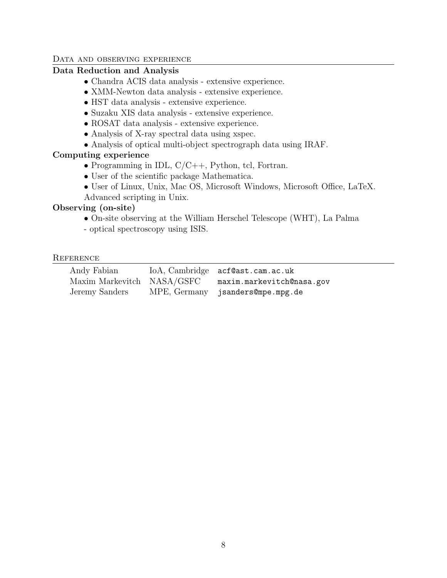#### DATA AND OBSERVING EXPERIENCE

## Data Reduction and Analysis

- *•* Chandra ACIS data analysis extensive experience.
- *•* XMM-Newton data analysis extensive experience.
- *•* HST data analysis extensive experience.
- *•* Suzaku XIS data analysis extensive experience.
- *•* ROSAT data analysis extensive experience.
- Analysis of X-ray spectral data using xspec.
- *•* Analysis of optical multi-object spectrograph data using IRAF.

## Computing experience

- *•* Programming in IDL, C/C++, Python, tcl, Fortran.
- User of the scientific package Mathematica.
- User of Linux, Unix, Mac OS, Microsoft Windows, Microsoft Office, LaTeX. Advanced scripting in Unix.

## Observing (on-site)

- *•* On-site observing at the William Herschel Telescope (WHT), La Palma
- optical spectroscopy using ISIS.

#### **REFERENCE**

| Andy Fabian    | IoA, Cambridge acf@ast.cam.ac.uk                     |
|----------------|------------------------------------------------------|
|                | Maxim Markevitch NASA/GSFC maxim.markevitch@nasa.gov |
| Jeremy Sanders | MPE, Germany jsanders@mpe.mpg.de                     |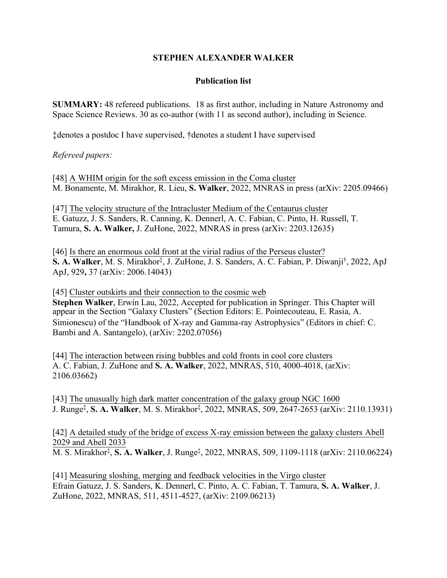# **STEPHEN ALEXANDER WALKER**

## **Publication list**

**SUMMARY:** 48 refereed publications. 18 as first author, including in Nature Astronomy and Space Science Reviews. 30 as co-author (with 11 as second author), including in Science.

‡denotes a postdoc I have supervised, †denotes a student I have supervised

*Refereed papers:* 

[48] [A WHIM origin for the soft excess emission in the Coma cluster](https://arxiv.org/abs/2205.09466) M. Bonamente, M. Mirakhor, R. Lieu, **S. Walker**, 2022, MNRAS in press (arXiv: 2205.09466)

[47] [The velocity structure of the Intracluster Medium of the Centaurus cluster](https://arxiv.org/abs/2203.12635) E. Gatuzz, J. S. Sanders, R. Canning, K. Dennerl, A. C. Fabian, C. Pinto, H. Russell, T. Tamura, **S. A. Walker,** J. ZuHone, 2022, MNRAS in press (arXiv: 2203.12635)

[46] [Is there an enormous cold front at the virial radius of the Perseus cluster?](https://arxiv.org/abs/2006.14043) S. A. Walker, M. S. Mirakhor<sup>‡</sup>, J. ZuHone, J. S. Sanders, A. C. Fabian, P. Diwanji<sup>†</sup>, 2022, ApJ ApJ, 929**,** 37 (arXiv: 2006.14043)

[45] [Cluster outskirts and their connection to the cosmic web](https://arxiv.org/abs/2202.07056) **Stephen Walker**, Erwin Lau, 2022, Accepted for publication in Springer. This Chapter will appear in the Section "Galaxy Clusters" (Section Editors: E. Pointecouteau, E. Rasia, A. Simionescu) of the "Handbook of X-ray and Gamma-ray Astrophysics" (Editors in chief: C. Bambi and A. Santangelo), (arXiv: 2202.07056)

[44] [The interaction between rising bubbles and cold fronts in cool core clusters](https://arxiv.org/abs/2106.03662) A. C. Fabian, J. ZuHone and **S. A. Walker**, 2022, MNRAS, 510, 4000-4018, (arXiv: 2106.03662)

[43] [The unusually high dark matter concentration of the galaxy group NGC 1600](https://arxiv.org/abs/2110.13931) J. Runge‡ , **S. A. Walker**, M. S. Mirakhor‡ , 2022, MNRAS, 509, 2647-2653 (arXiv: 2110.13931)

[42] [A detailed study of the bridge of excess X-ray emission between the galaxy clusters Abell](https://arxiv.org/abs/2110.06224) [2029 and Abell 2033](https://arxiv.org/abs/2110.06224)

M. S. Mirakhor‡ , **S. A. Walker**, J. Runge‡ , 2022, MNRAS, 509, 1109-1118 (arXiv: 2110.06224)

[41] [Measuring sloshing, merging and feedback velocities in the Virgo cluster](https://arxiv.org/abs/2109.06213) Efrain Gatuzz, J. S. Sanders, K. Dennerl, C. Pinto, A. C. Fabian, T. Tamura, **S. A. Walker**, J. ZuHone, 2022, MNRAS, 511, 4511-4527, (arXiv: 2109.06213)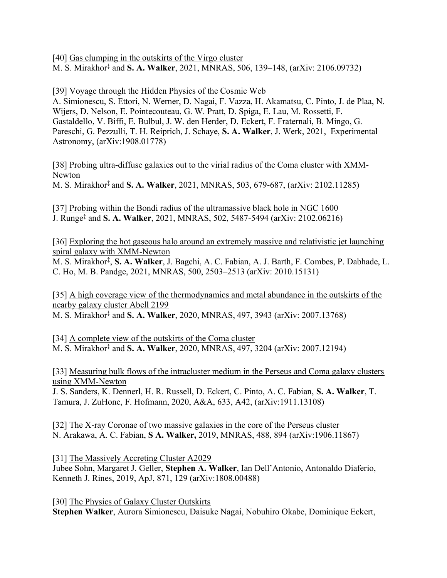[40] [Gas clumping in the outskirts of the Virgo cluster](https://arxiv.org/abs/2106.09732) M. S. Mirakhor‡ and **S. A. Walker**, 2021, MNRAS, 506, 139–148, (arXiv: 2106.09732)

[39] [Voyage through the Hidden Physics of the Cosmic Web](https://arxiv.org/abs/1908.01778)

A. Simionescu, S. Ettori, N. Werner, D. Nagai, F. Vazza, H. Akamatsu, C. Pinto, J. de Plaa, N. Wijers, D. Nelson, E. Pointecouteau, G. W. Pratt, D. Spiga, E. Lau, M. Rossetti, F. Gastaldello, V. Biffi, E. Bulbul, J. W. den Herder, D. Eckert, F. Fraternali, B. Mingo, G. Pareschi, G. Pezzulli, T. H. Reiprich, J. Schaye, **S. A. Walker**, J. Werk, 2021, Experimental Astronomy, (arXiv:1908.01778)

[38] [Probing ultra-diffuse galaxies out to the virial radius of the Coma cluster with XMM-](https://arxiv.org/abs/2102.11285)[Newton](https://arxiv.org/abs/2102.11285)

M. S. Mirakhor‡ and **S. A. Walker**, 2021, MNRAS, 503, 679-687, (arXiv: 2102.11285)

[37] [Probing within the Bondi radius of the ultramassive black hole in NGC 1600](https://arxiv.org/abs/2102.06216) J. Runge‡ and **S. A. Walker**, 2021, MNRAS, 502, 5487-5494 (arXiv: 2102.06216)

[36] [Exploring the hot gaseous halo around an extremely massive and relativistic jet launching](https://arxiv.org/abs/2010.15131)  [spiral galaxy with XMM-Newton](https://arxiv.org/abs/2010.15131)

M. S. Mirakhor‡, **S. A. Walker**, J. Bagchi, A. C. Fabian, A. J. Barth, F. Combes, P. Dabhade, L. C. Ho, M. B. Pandge, 2021, MNRAS, 500, 2503–2513 (arXiv: 2010.15131)

[35] [A high coverage view of the thermodynamics and metal abundance in the outskirts of the](https://arxiv.org/abs/2007.13768)  [nearby galaxy cluster Abell 2199](https://arxiv.org/abs/2007.13768) M. S. Mirakhor‡ and **S. A. Walker**, 2020, MNRAS, 497, 3943 (arXiv: 2007.13768)

[34] [A complete view of the outskirts of the Coma cluster](https://arxiv.org/abs/2007.12194) M. S. Mirakhor‡ and **S. A. Walker**, 2020, MNRAS, 497, 3204 (arXiv: 2007.12194)

[33] [Measuring bulk flows of the intracluster medium in the Perseus and Coma galaxy clusters](https://arxiv.org/abs/1911.13108v1)  [using XMM-Newton](https://arxiv.org/abs/1911.13108v1)

J. S. Sanders, K. Dennerl, H. R. Russell, D. Eckert, C. Pinto, A. C. Fabian, **S. A. Walker**, T. Tamura, J. ZuHone, F. Hofmann, 2020, A&A, 633, A42, (arXiv:1911.13108)

[32] [The X-ray Coronae of two massive galaxies in the core of the Perseus cluster](https://arxiv.org/abs/1906.11867) N. Arakawa, A. C. Fabian, **S A. Walker,** 2019, MNRAS, 488, 894 (arXiv:1906.11867)

[31] [The Massively Accreting Cluster A2029](https://arxiv.org/abs/1808.00488)

Jubee Sohn, Margaret J. Geller, **Stephen A. Walker**, Ian Dell'Antonio, Antonaldo Diaferio, Kenneth J. Rines, 2019, ApJ, 871, 129 (arXiv:1808.00488)

[30] [The Physics of Galaxy Cluster Outskirts](https://arxiv.org/abs/1810.00890v2) **Stephen Walker**, Aurora Simionescu, Daisuke Nagai, Nobuhiro Okabe, Dominique Eckert,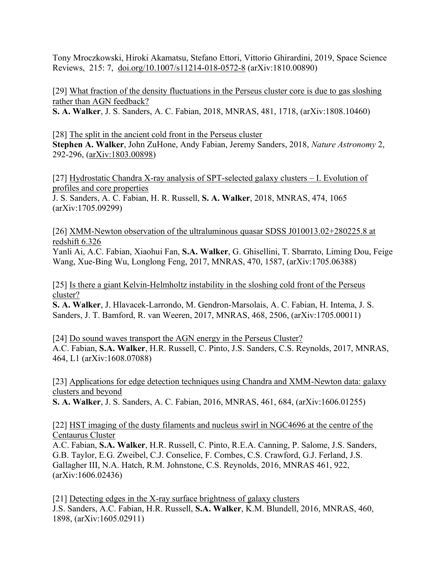Tony Mroczkowski, Hiroki Akamatsu, Stefano Ettori, Vittorio Ghirardini, 2019, Space Science Reviews, 215: 7, [doi.org/10.1007/s11214-018-0572-8](https://doi.org/10.1007/s11214-018-0572-8) (arXiv:1810.00890)

[29] [What fraction of the density fluctuations in the Perseus cluster core is due to gas sloshing](https://arxiv.org/abs/1808.10460)  [rather than AGN feedback?](https://arxiv.org/abs/1808.10460)

**S. A. Walker**, J. S. Sanders, A. C. Fabian, 2018, MNRAS, 481, 1718, (arXiv:1808.10460)

[28] [The split in the ancient cold front in the Perseus cluster](https://www.nature.com/articles/s41550-018-0401-8) **Stephen A. Walker**, John ZuHone, Andy Fabian, Jeremy Sanders, 2018, *Nature Astronomy* 2, 292-296, [\(arXiv:1803.00898\)](https://arxiv.org/abs/1803.00898)

[27] [Hydrostatic Chandra X-ray analysis of SPT-selected galaxy clusters](https://arxiv.org/abs/1705.09299) – I. Evolution of [profiles and core properties](https://arxiv.org/abs/1705.09299)

J. S. Sanders, A. C. Fabian, H. R. Russell, **S. A. Walker**, 2018, MNRAS, 474, 1065 (arXiv:1705.09299)

[26] [XMM-Newton observation of the ultraluminous quasar SDSS J010013.02+280225.8 at](https://arxiv.org/abs/1705.06388)  [redshift 6.326](https://arxiv.org/abs/1705.06388)

Yanli Ai, A.C. Fabian, Xiaohui Fan, **S.A. Walker**, G. Ghisellini, T. Sbarrato, Liming Dou, Feige Wang, Xue-Bing Wu, Longlong Feng, 2017, MNRAS, 470, 1587, (arXiv:1705.06388)

[25] [Is there a giant Kelvin-Helmholtz instability in the sloshing cold front of the Perseus](https://arxiv.org/abs/1705.00011)  [cluster?](https://arxiv.org/abs/1705.00011)

**S. A. Walker**, J. Hlavacek-Larrondo, M. Gendron-Marsolais, A. C. Fabian, H. Intema, J. S. Sanders, J. T. Bamford, R. van Weeren, 2017, MNRAS, 468, 2506, (arXiv:1705.00011)

[24] [Do sound waves transport the AGN energy in the Perseus Cluster?](https://arxiv.org/abs/1608.07088) A.C. Fabian, **S.A. Walker**, H.R. Russell, C. Pinto, J.S. Sanders, C.S. Reynolds, 2017, MNRAS, 464, L1 (arXiv:1608.07088)

[23] [Applications for edge detection techniques using Chandra and XMM-Newton data: galaxy](https://arxiv.org/abs/1606.01255)  [clusters and beyond](https://arxiv.org/abs/1606.01255)

**S. A. Walker**, J. S. Sanders, A. C. Fabian, 2016, MNRAS, 461, 684, (arXiv:1606.01255)

[22] [HST imaging of the dusty filaments and nucleus swirl in NGC4696 at the centre of the](https://arxiv.org/abs/1606.02436)  [Centaurus Cluster](https://arxiv.org/abs/1606.02436)

A.C. Fabian, **S.A. Walker**, H.R. Russell, C. Pinto, R.E.A. Canning, P. Salome, J.S. Sanders, G.B. Taylor, E.G. Zweibel, C.J. Conselice, F. Combes, C.S. Crawford, G.J. Ferland, J.S. Gallagher III, N.A. Hatch, R.M. Johnstone, C.S. Reynolds, 2016, MNRAS 461, 922, (arXiv:1606.02436)

[21] [Detecting edges in the X-ray surface brightness of galaxy clusters](https://arxiv.org/abs/1605.02911) J.S. Sanders, A.C. Fabian, H.R. Russell, **S.A. Walker**, K.M. Blundell, 2016, MNRAS, 460, 1898, (arXiv:1605.02911)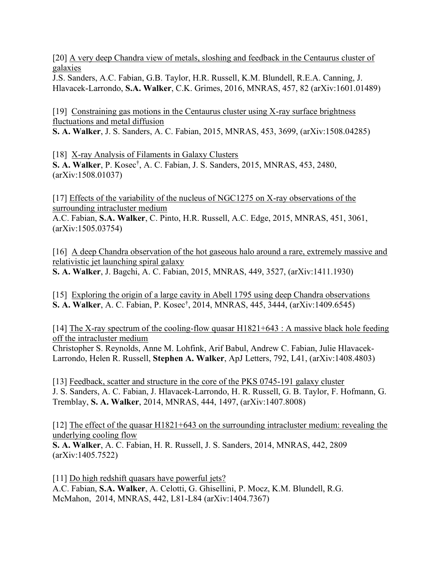[20] [A very deep Chandra view of metals, sloshing and feedback in the Centaurus cluster of](https://arxiv.org/abs/1601.01489)  [galaxies](https://arxiv.org/abs/1601.01489)

J.S. Sanders, A.C. Fabian, G.B. Taylor, H.R. Russell, K.M. Blundell, R.E.A. Canning, J. Hlavacek-Larrondo, **S.A. Walker**, C.K. Grimes, 2016, MNRAS, 457, 82 (arXiv:1601.01489)

[19] [Constraining gas motions in the Centaurus cluster using X-ray surface brightness](https://arxiv.org/abs/1508.04285)  [fluctuations and metal diffusion](https://arxiv.org/abs/1508.04285)

**S. A. Walker**, J. S. Sanders, A. C. Fabian, 2015, MNRAS, 453, 3699, (arXiv:1508.04285)

[18] [X-ray Analysis of Filaments in Galaxy Clusters](https://arxiv.org/abs/1508.01037) **S. A. Walker**, P. Kosec†, A. C. Fabian, J. S. Sanders, 2015, MNRAS, 453, 2480, (arXiv:1508.01037)

[17] [Effects of the variability of the nucleus of NGC1275 on X-ray observations of the](https://arxiv.org/abs/1505.03754)  [surrounding intracluster medium](https://arxiv.org/abs/1505.03754)

A.C. Fabian, **S.A. Walker**, C. Pinto, H.R. Russell, A.C. Edge, 2015, MNRAS, 451, 3061, (arXiv:1505.03754)

[16] A deep Chandra observation of the hot gaseous halo around a rare, extremely massive and [relativistic jet launching spiral galaxy](https://arxiv.org/abs/1411.1930) **S. A. Walker**, J. Bagchi, A. C. Fabian, 2015, MNRAS, 449, 3527, (arXiv:1411.1930)

[15] [Exploring the origin of a large cavity in Abell 1795 using deep Chandra observations](https://arxiv.org/abs/1409.6545) **S. A. Walker**, A. C. Fabian, P. Kosec† , 2014, MNRAS, 445, 3444, (arXiv:1409.6545)

[14] The X-ray spectrum of the cooling-flow quasar  $H1821+643$ : A massive black hole feeding [off the intracluster medium](https://arxiv.org/abs/1408.4803)

Christopher S. Reynolds, Anne M. Lohfink, Arif Babul, Andrew C. Fabian, Julie Hlavacek-Larrondo, Helen R. Russell, **Stephen A. Walker**, ApJ Letters, 792, L41, (arXiv:1408.4803)

[13] [Feedback, scatter and structure in the core of the PKS 0745-191 galaxy cluster](https://arxiv.org/abs/1407.8008) J. S. Sanders, A. C. Fabian, J. Hlavacek-Larrondo, H. R. Russell, G. B. Taylor, F. Hofmann, G. Tremblay, **S. A. Walker**, 2014, MNRAS, 444, 1497, (arXiv:1407.8008)

[12] [The effect of the quasar H1821+643 on the surrounding intracluster medium: revealing the](https://arxiv.org/abs/1405.7522)  [underlying cooling flow](https://arxiv.org/abs/1405.7522)

**S. A. Walker**, A. C. Fabian, H. R. Russell, J. S. Sanders, 2014, MNRAS, 442, 2809 (arXiv:1405.7522)

[11] [Do high redshift quasars have](https://arxiv.org/abs/1404.7367) powerful jets? A.C. Fabian, **S.A. Walker**, A. Celotti, G. Ghisellini, P. Mocz, K.M. Blundell, R.G. McMahon, 2014, MNRAS, 442, L81-L84 (arXiv:1404.7367)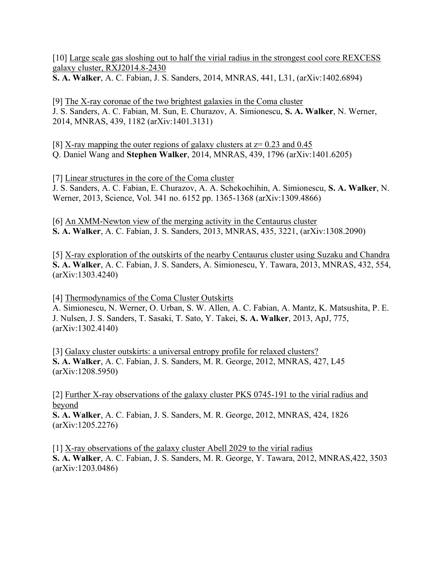[10] [Large scale gas sloshing out to half the virial radius in the strongest cool core REXCESS](https://arxiv.org/abs/1402.6894)  [galaxy cluster, RXJ2014.8-2430](https://arxiv.org/abs/1402.6894)

**S. A. Walker**, A. C. Fabian, J. S. Sanders, 2014, MNRAS, 441, L31, (arXiv:1402.6894)

[9] [The X-ray coronae of the two brightest galaxies in the Coma cluster](https://arxiv.org/abs/1401.3131) J. S. Sanders, A. C. Fabian, M. Sun, E. Churazov, A. Simionescu, **S. A. Walker**, N. Werner, 2014, MNRAS, 439, 1182 (arXiv:1401.3131)

[8] [X-ray mapping the outer regions of galaxy clusters at z= 0.23 and 0.45](https://arxiv.org/abs/1401.6205) Q. Daniel Wang and **Stephen Walker**, 2014, MNRAS, 439, 1796 (arXiv:1401.6205)

[7] [Linear structures in the core of the Coma cluster](https://arxiv.org/abs/1309.4866) J. S. Sanders, A. C. Fabian, E. Churazov, A. A. Schekochihin, A. Simionescu, **S. A. Walker**, N. Werner, 2013, Science, Vol. 341 no. 6152 pp. 1365-1368 (arXiv:1309.4866)

[6] [An XMM-Newton view of the merging activity in the Centaurus cluster](https://arxiv.org/abs/1308.2090) **S. A. Walker**, A. C. Fabian, J. S. Sanders, 2013, MNRAS, 435, 3221, (arXiv:1308.2090)

[5] [X-ray exploration of the outskirts of the nearby Centaurus cluster using Suzaku and Chandra](https://arxiv.org/abs/1303.4240) **S. A. Walker**, A. C. Fabian, J. S. Sanders, A. Simionescu, Y. Tawara, 2013, MNRAS, 432, 554, (arXiv:1303.4240)

[4] [Thermodynamics of the Coma Cluster Outskirts](https://arxiv.org/abs/1302.4140)

A. Simionescu, N. Werner, O. Urban, S. W. Allen, A. C. Fabian, A. Mantz, K. Matsushita, P. E. J. Nulsen, J. S. Sanders, T. Sasaki, T. Sato, Y. Takei, **S. A. Walker**, 2013, ApJ, 775, (arXiv:1302.4140)

[3] [Galaxy cluster outskirts: a universal entropy profile for relaxed clusters?](https://arxiv.org/abs/1208.5950) **S. A. Walker**, A. C. Fabian, J. S. Sanders, M. R. George, 2012, MNRAS, 427, L45 (arXiv:1208.5950)

[2] [Further X-ray observations of the galaxy cluster PKS 0745-191 to the virial radius and](https://arxiv.org/abs/1205.2276)  [beyond](https://arxiv.org/abs/1205.2276)

**S. A. Walker**, A. C. Fabian, J. S. Sanders, M. R. George, 2012, MNRAS, 424, 1826 (arXiv:1205.2276)

[1] [X-ray observations of the galaxy cluster Abell 2029 to the virial radius](https://arxiv.org/abs/1203.0486) **S. A. Walker**, A. C. Fabian, J. S. Sanders, M. R. George, Y. Tawara, 2012, MNRAS,422, 3503 (arXiv:1203.0486)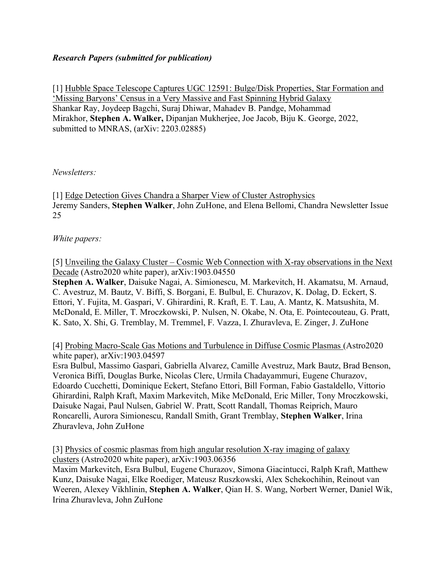# *Research Papers (submitted for publication)*

[1] [Hubble Space Telescope Captures UGC 12591: Bulge/Disk Properties, Star Formation and](https://arxiv.org/abs/2203.02885)  ['Missing Baryons' Census in a Very Massive and Fast Spinning Hybrid Galaxy](https://arxiv.org/abs/2203.02885) Shankar Ray, Joydeep Bagchi, Suraj Dhiwar, Mahadev B. Pandge, Mohammad Mirakhor, **Stephen A. Walker,** Dipanjan Mukherjee, Joe Jacob, Biju K. George, 2022, submitted to MNRAS, (arXiv: 2203.02885)

# *Newsletters:*

[1] [Edge Detection Gives Chandra a Sharper View of Cluster Astrophysics](http://cxc.harvard.edu/newsletters/news_25/edgedetect.pdf) Jeremy Sanders, **Stephen Walker**, John ZuHone, and Elena Bellomi, Chandra Newsletter Issue 25

# *White papers:*

[5] Unveiling the Galaxy Cluster – [Cosmic Web Connection with X-ray observations in the Next](https://arxiv.org/abs/1903.04550)  [Decade](https://arxiv.org/abs/1903.04550) (Astro2020 white paper), arXiv:1903.04550

**Stephen A. Walker**, Daisuke Nagai, A. Simionescu, M. Markevitch, H. Akamatsu, M. Arnaud, C. Avestruz, M. Bautz, V. Biffi, S. Borgani, E. Bulbul, E. Churazov, K. Dolag, D. Eckert, S. Ettori, Y. Fujita, M. Gaspari, V. Ghirardini, R. Kraft, E. T. Lau, A. Mantz, K. Matsushita, M. McDonald, E. Miller, T. Mroczkowski, P. Nulsen, N. Okabe, N. Ota, E. Pointecouteau, G. Pratt, K. Sato, X. Shi, G. Tremblay, M. Tremmel, F. Vazza, I. Zhuravleva, E. Zinger, J. ZuHone

[4] [Probing Macro-Scale Gas Motions and Turbulence in Diffuse Cosmic Plasmas](https://arxiv.org/abs/1903.04597) (Astro2020 white paper), arXiv:1903.04597

Esra Bulbul, Massimo Gaspari, Gabriella Alvarez, Camille Avestruz, Mark Bautz, Brad Benson, Veronica Biffi, Douglas Burke, Nicolas Clerc, Urmila Chadayammuri, Eugene Churazov, Edoardo Cucchetti, Dominique Eckert, Stefano Ettori, Bill Forman, Fabio Gastaldello, Vittorio Ghirardini, Ralph Kraft, Maxim Markevitch, Mike McDonald, Eric Miller, Tony Mroczkowski, Daisuke Nagai, Paul Nulsen, Gabriel W. Pratt, Scott Randall, Thomas Reiprich, Mauro Roncarelli, Aurora Simionescu, Randall Smith, Grant Tremblay, **Stephen Walker**, Irina Zhuravleva, John ZuHone

[3] [Physics of cosmic plasmas from high angular resolution X-ray imaging of galaxy](https://arxiv.org/abs/1903.06356)  [clusters](https://arxiv.org/abs/1903.06356) (Astro2020 white paper), arXiv:1903.06356

Maxim Markevitch, Esra Bulbul, Eugene Churazov, Simona Giacintucci, Ralph Kraft, Matthew Kunz, Daisuke Nagai, Elke Roediger, Mateusz Ruszkowski, Alex Schekochihin, Reinout van Weeren, Alexey Vikhlinin, **Stephen A. Walker**, Qian H. S. Wang, Norbert Werner, Daniel Wik, Irina Zhuravleva, John ZuHone